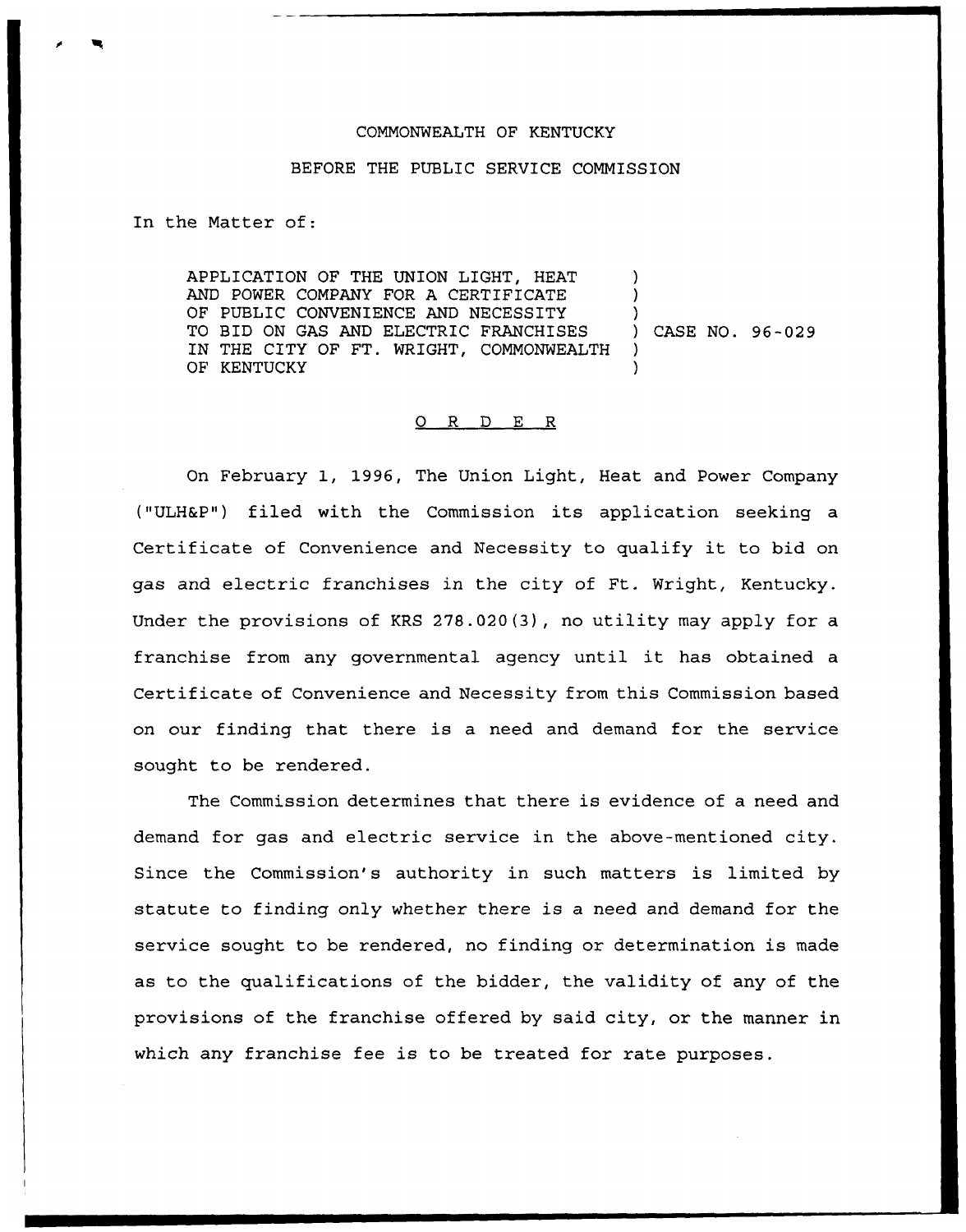## COMMONWEALTH OF KENTUCKY

## BEFORE THE PUBLIC SERVICE COMMISSION

In the Matter of:

APPLICATION OF THE UNION LIGHT, HEAT AND POWER COMPANY FOR A CERTIFICATE OF PUBLIC CONVENIENCE AND NECESSITY TO BID ON GAS AND ELECTRIC FRANCHISES IN THE CITY OF FT. WRIGHT, COMMONWEALTH OF KENTUCKY ) ) ) ) CASE NO. 96-029 ) )

## 0 R <sup>D</sup> E R

On February 1, 1996, The Union Light, Heat and Power Company ("ULH&P") filed with the Commission its application seeking a Certificate of Convenience and Necessity to qualify it to bid on gas and electric franchises in the city of Ft. Wright, Kentucky. Under the provisions of KRS 278.020(3), no utility may apply for a franchise from any governmental agency until it has obtained <sup>a</sup> Certificate of Convenience and Necessity from this Commission based on our finding that there is a need and demand for the service sought to be rendered.

The Commission determines that there is evidence of a need and demand for gas and electric service in the above-mentioned city. Since the Commission's authority in such matters is limited by statute to finding only whether there is a need and demand for the service sought to be rendered, no finding or determination is made as to the qualifications of the bidder, the validity of any of the provisions of the franchise offered by said city, or the manner in which any franchise fee is to be treated for rate purposes.